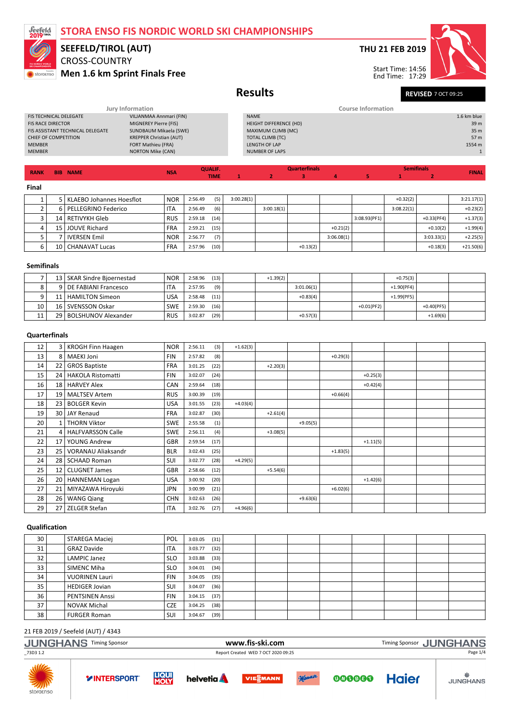

### CROSS-COUNTRY Men 1.6 km Sprint Finals Free SEEFELD/TIROL (AUT)

**RANK BIB NAME** NEWSALE NEWSALE NEWSALE NEWSALE NEWSALE NEWSALE NEWSALE NEWSALE NEWSALE NEWSALE NEWSALE NEWSALE NEWSALE NEWSALE NEWSALE NEWSALE NEWSALE NEWSALE NEWSALE NEWSALE NEWSALE NEWSALE NEWSALE NEWSALE NEWSALE NEWSAL

### THU 21 FEB 2019



**FINAL** 

Results Revised 7 0CT 09:25 End Time: 17:29

Semifinals

#### Jury Information Course Information FIS TECHNICAL DELEGATE<br>FIS RACE DIRECTOR **EXAMPLE A CONSTANT CONTRACT MIGNEREY Pierre (FIS)** MIGNEREY Pierre (FIS)<br>SUNDBAUM Mikaela (SWE) FIS ASSISTANT TECHNICAL DELEGATE<br>CHIEF OF COMPETITION CHIEF OF COMPETITION KREPPER Christian (AUT) MEMBER FORT Mathieu (FRA)<br>MEMBER FORT Mathieu (FRA)<br>MEMBER NORTON Mike (CAN) NORTON Mike (CAN)  $1.6$  km blue HEIGHT DIFFERENCE (HD) 39 m  $MAXIMUM CLIMB (MC)$  35 m<br>TOTAL CLIMB (TC) 35 m<br>TOTAL CLIMB (TC) 35 m TOTAL CLIMB (TC)<br>TOTAL CLIMB (TC) 57 m<br>LENGTH OF LAP 1554 m LENGTH OF LAP NUMBER OF LAPS **1**

TIME

Final

|   |                 | KLAEBO Johannes Hoesflot | <b>NOR</b> | 2:56.49 | (5)  | 3:00.28(1) |            |            |            |              | $+0.32(2)$ |              | 3:21.17(1)  |
|---|-----------------|--------------------------|------------|---------|------|------------|------------|------------|------------|--------------|------------|--------------|-------------|
|   |                 | PELLEGRINO Federico      | <b>ITA</b> | 2:56.49 | (6)  |            | 3:00.18(1) |            |            |              | 3:08.22(1) |              | $+0.23(2)$  |
|   | 14 <sup>1</sup> | l RETIVYKH Gleb          | <b>RUS</b> | 2:59.18 | (14) |            |            |            |            | 3:08.93(PF1) |            | $+0.33(PF4)$ | $+1.37(3)$  |
| 4 | 15 I            | JOUVE Richard            | <b>FRA</b> | 2:59.21 | (15) |            |            |            | $+0.21(2)$ |              |            | $+0.10(2)$   | $+1.99(4)$  |
|   |                 | <b>IVERSEN Emil</b>      | <b>NOR</b> | 2:56.77 | (7)  |            |            |            | 3:06.08(1) |              |            | 3:03.33(1)   | $+2.25(5)$  |
| b | 10              | l CHANAVAT Lucas         | <b>FRA</b> | 2:57.96 | (10) |            |            | $+0.13(2)$ |            |              |            | $+0.18(3)$   | $+21.50(6)$ |
|   |                 |                          |            |         |      |            |            |            |            |              |            |              |             |

**Quarterfinals** 1 2 3 4 5

#### Semifinals

|    | 13   SKAR Sindre Bioernestad | <b>NOR</b> | 2:58.96 | (13) | $+1.39(2)$ |            |               | $+0.75(3)$    |              |  |
|----|------------------------------|------------|---------|------|------------|------------|---------------|---------------|--------------|--|
|    | 9   DE FABIANI Francesco     | <b>ITA</b> | 2:57.95 | (9)  |            | 3:01.06(1) |               | $+1.90(PF4)$  |              |  |
|    | 11   HAMILTON Simeon         | <b>USA</b> | 2:58.48 | (11) |            | $+0.83(4)$ |               | $+1.99$ (PF5) |              |  |
| 10 | 16 SVENSSON Oskar            | <b>SWE</b> | 2:59.30 | (16) |            |            | $+0.01$ (PF2) |               | $+0.40(PF5)$ |  |
|    | 29   BOLSHUNOV Alexander     | <b>RUS</b> | 3:02.87 | (29) |            | $+0.57(3)$ |               |               | $+1.69(6)$   |  |

### **Ouarterfinals**

| 12 |      | 3   KROGH Finn Haagen     | <b>NOR</b> | 2:56.11 | (3)  | $+1.62(3)$ |            |            |            |            |  |  |
|----|------|---------------------------|------------|---------|------|------------|------------|------------|------------|------------|--|--|
| 13 | 8    | <b>MAEKI Joni</b>         | <b>FIN</b> | 2:57.82 | (8)  |            |            |            | $+0.29(3)$ |            |  |  |
| 14 | 22   | <b>GROS Baptiste</b>      | <b>FRA</b> | 3:01.25 | (22) |            | $+2.20(3)$ |            |            |            |  |  |
| 15 | 24   | <b>HAKOLA Ristomatti</b>  | <b>FIN</b> | 3:02.07 | (24) |            |            |            |            | $+0.25(3)$ |  |  |
| 16 | 18   | <b>HARVEY Alex</b>        | CAN        | 2:59.64 | (18) |            |            |            |            | $+0.42(4)$ |  |  |
| 17 | 19   | <b>MALTSEV Artem</b>      | <b>RUS</b> | 3:00.39 | (19) |            |            |            | $+0.66(4)$ |            |  |  |
| 18 | 23   | <b>BOLGER Kevin</b>       | <b>USA</b> | 3:01.55 | (23) | $+4.03(4)$ |            |            |            |            |  |  |
| 19 | 30 l | <b>JAY Renaud</b>         | <b>FRA</b> | 3:02.87 | (30) |            | $+2.61(4)$ |            |            |            |  |  |
| 20 |      | <b>THORN Viktor</b>       | <b>SWE</b> | 2:55.58 | (1)  |            |            | $+9.05(5)$ |            |            |  |  |
| 21 | 4    | <b>HALFVARSSON Calle</b>  | <b>SWE</b> | 2:56.11 | (4)  |            | $+3.08(5)$ |            |            |            |  |  |
| 22 | 17   | YOUNG Andrew              | <b>GBR</b> | 2:59.54 | (17) |            |            |            |            | $+1.11(5)$ |  |  |
| 23 | 25   | <b>VORANAU Aliaksandr</b> | <b>BLR</b> | 3:02.43 | (25) |            |            |            | $+1.83(5)$ |            |  |  |
| 24 | 28   | <b>SCHAAD Roman</b>       | SUI        | 3:02.77 | (28) | $+4.29(5)$ |            |            |            |            |  |  |
| 25 | 12   | <b>CLUGNET James</b>      | GBR        | 2:58.66 | (12) |            | $+5.54(6)$ |            |            |            |  |  |
| 26 |      | 20   HANNEMAN Logan       | <b>USA</b> | 3:00.92 | (20) |            |            |            |            | $+1.42(6)$ |  |  |
| 27 | 21   | MIYAZAWA Hiroyuki         | <b>JPN</b> | 3:00.99 | (21) |            |            |            | $+6.02(6)$ |            |  |  |
| 28 | 26   | <b>WANG Qiang</b>         | <b>CHN</b> | 3:02.63 | (26) |            |            | $+9.63(6)$ |            |            |  |  |
| 29 | 27   | <b>ZELGER Stefan</b>      | <b>ITA</b> | 3:02.76 | (27) | $+4.96(6)$ |            |            |            |            |  |  |

#### Qualification

| 30              | STAREGA Maciej         | POL        | 3:03.05 | (31) |  |  |  |  |
|-----------------|------------------------|------------|---------|------|--|--|--|--|
| 31              | <b>GRAZ Davide</b>     | <b>ITA</b> | 3:03.77 | (32) |  |  |  |  |
| 32              | LAMPIC Janez           | <b>SLO</b> | 3:03.88 | (33) |  |  |  |  |
| 33              | SIMENC Miha            | <b>SLO</b> | 3:04.01 | (34) |  |  |  |  |
| 34              | <b>VUORINEN Lauri</b>  | <b>FIN</b> | 3:04.05 | (35) |  |  |  |  |
| 35              | <b>HEDIGER Jovian</b>  | SUI        | 3:04.07 | (36) |  |  |  |  |
| 36 <sub>1</sub> | <b>PENTSINEN Anssi</b> | <b>FIN</b> | 3:04.15 | (37) |  |  |  |  |
| 37              | <b>NOVAK Michal</b>    | <b>CZE</b> | 3:04.25 | (38) |  |  |  |  |
| 38              | <b>FURGER Roman</b>    | SUI        | 3:04.67 | (39) |  |  |  |  |

| <b>JUNGHANS</b> | <b>Timing Sponsor</b> | www.fis-ski.com                     | <b>JUNGHANS</b><br><b>Timing Sponsor</b> |
|-----------------|-----------------------|-------------------------------------|------------------------------------------|
| _73D3 1.2       |                       | Report Created WED 7 OCT 2020 09:25 | Page 1/4                                 |
|                 |                       |                                     |                                          |









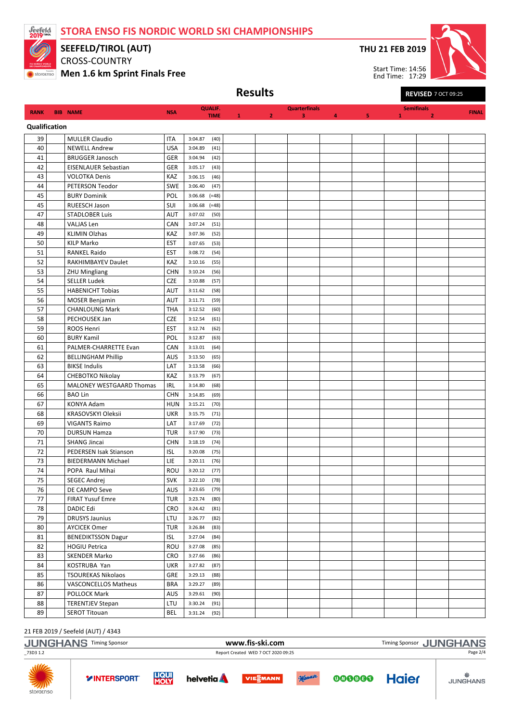

SEEFELD/TIROL (AUT)

CROSS-COUNTRY

Men 1.6 km Sprint Finals Free

THU 21 FEB 2019

Start Time: 14:56 End Time: 17:29



Results REVISED 7 OCT 09:25

| <b>RANK</b>   | <b>BIB NAME</b>             | <b>NSA</b>               | <b>QUALIF.</b>                     |   |                | <b>Quarterfinals</b> |   |   |   | <b>Semifinals</b> | <b>FINAL</b> |
|---------------|-----------------------------|--------------------------|------------------------------------|---|----------------|----------------------|---|---|---|-------------------|--------------|
| Qualification |                             |                          | <b>TIME</b>                        | 1 | $\overline{2}$ | 3                    | 4 | 5 | 1 | $\overline{2}$    |              |
| 39            | <b>MULLER Claudio</b>       |                          |                                    |   |                |                      |   |   |   |                   |              |
| 40            | <b>NEWELL Andrew</b>        | <b>ITA</b><br><b>USA</b> | 3:04.87<br>(40)<br>3:04.89<br>(41) |   |                |                      |   |   |   |                   |              |
| 41            | <b>BRUGGER Janosch</b>      | GER                      | 3:04.94<br>(42)                    |   |                |                      |   |   |   |                   |              |
| 42            | EISENLAUER Sebastian        | GER                      | (43)<br>3:05.17                    |   |                |                      |   |   |   |                   |              |
| 43            | <b>VOLOTKA Denis</b>        | KAZ                      | 3:06.15<br>(46)                    |   |                |                      |   |   |   |                   |              |
| 44            | PETERSON Teodor             | <b>SWE</b>               | 3:06.40<br>(47)                    |   |                |                      |   |   |   |                   |              |
| 45            | <b>BURY Dominik</b>         | POL                      | $3:06.68$ (=48)                    |   |                |                      |   |   |   |                   |              |
| 45            | RUEESCH Jason               | SUI                      | 3:06.68<br>$(=48)$                 |   |                |                      |   |   |   |                   |              |
| 47            | <b>STADLOBER Luis</b>       | AUT                      | 3:07.02<br>(50)                    |   |                |                      |   |   |   |                   |              |
| 48            | VALJAS Len                  | CAN                      | 3:07.24<br>(51)                    |   |                |                      |   |   |   |                   |              |
| 49            | <b>KLIMIN Olzhas</b>        | KAZ                      | (52)<br>3:07.36                    |   |                |                      |   |   |   |                   |              |
| 50            | <b>KILP Marko</b>           | <b>EST</b>               | 3:07.65<br>(53)                    |   |                |                      |   |   |   |                   |              |
| 51            | <b>RANKEL Raido</b>         | <b>EST</b>               | 3:08.72<br>(54)                    |   |                |                      |   |   |   |                   |              |
| 52            | RAKHIMBAYEV Daulet          | KAZ                      | 3:10.16<br>(55)                    |   |                |                      |   |   |   |                   |              |
| 53            | <b>ZHU Mingliang</b>        | <b>CHN</b>               | 3:10.24<br>(56)                    |   |                |                      |   |   |   |                   |              |
| 54            | <b>SELLER Ludek</b>         | <b>CZE</b>               | 3:10.88<br>(57)                    |   |                |                      |   |   |   |                   |              |
| 55            | <b>HABENICHT Tobias</b>     | <b>AUT</b>               | 3:11.62<br>(58)                    |   |                |                      |   |   |   |                   |              |
| 56            | <b>MOSER Benjamin</b>       | <b>AUT</b>               | 3:11.71<br>(59)                    |   |                |                      |   |   |   |                   |              |
| 57            | <b>CHANLOUNG Mark</b>       | <b>THA</b>               | 3:12.52<br>(60)                    |   |                |                      |   |   |   |                   |              |
| 58            | PECHOUSEK Jan               | <b>CZE</b>               | 3:12.54<br>(61)                    |   |                |                      |   |   |   |                   |              |
| 59            | ROOS Henri                  | <b>EST</b>               | 3:12.74<br>(62)                    |   |                |                      |   |   |   |                   |              |
| 60            | <b>BURY Kamil</b>           | POL                      | 3:12.87<br>(63)                    |   |                |                      |   |   |   |                   |              |
| 61            | PALMER-CHARRETTE Evan       | CAN                      | 3:13.01<br>(64)                    |   |                |                      |   |   |   |                   |              |
| 62            | <b>BELLINGHAM Phillip</b>   | <b>AUS</b>               | 3:13.50<br>(65)                    |   |                |                      |   |   |   |                   |              |
| 63            | <b>BIKSE Indulis</b>        | LAT                      | 3:13.58<br>(66)                    |   |                |                      |   |   |   |                   |              |
| 64            | CHEBOTKO Nikolay            | KAZ                      | 3:13.79<br>(67)                    |   |                |                      |   |   |   |                   |              |
| 65            | MALONEY WESTGAARD Thomas    | <b>IRL</b>               | 3:14.80<br>(68)                    |   |                |                      |   |   |   |                   |              |
| 66            | <b>BAO Lin</b>              | <b>CHN</b>               | 3:14.85<br>(69)                    |   |                |                      |   |   |   |                   |              |
| 67            | KONYA Adam                  | <b>HUN</b>               | 3:15.21<br>(70)                    |   |                |                      |   |   |   |                   |              |
| 68            | KRASOVSKYI Oleksii          | <b>UKR</b>               | 3:15.75<br>(71)                    |   |                |                      |   |   |   |                   |              |
| 69            | <b>VIGANTS Raimo</b>        | LAT                      | (72)<br>3:17.69                    |   |                |                      |   |   |   |                   |              |
| 70            | <b>DURSUN Hamza</b>         | <b>TUR</b>               | 3:17.90<br>(73)                    |   |                |                      |   |   |   |                   |              |
| 71            | <b>SHANG Jincai</b>         | <b>CHN</b>               | 3:18.19<br>(74)                    |   |                |                      |   |   |   |                   |              |
| 72            | PEDERSEN Isak Stianson      | <b>ISL</b>               | 3:20.08<br>(75)                    |   |                |                      |   |   |   |                   |              |
| 73            | <b>BIEDERMANN Michael</b>   | LIE                      | 3:20.11<br>(76)                    |   |                |                      |   |   |   |                   |              |
| 74            | POPA Raul Mihai             | ROU                      | 3:20.12<br>(77)                    |   |                |                      |   |   |   |                   |              |
| 75            | <b>SEGEC Andrej</b>         | <b>SVK</b>               | 3:22.10<br>(78)                    |   |                |                      |   |   |   |                   |              |
| 76            | DE CAMPO Seve               | AUS                      | 3:23.65<br>(79)                    |   |                |                      |   |   |   |                   |              |
| 77            | <b>FIRAT Yusuf Emre</b>     | <b>TUR</b>               | 3:23.74<br>(80)                    |   |                |                      |   |   |   |                   |              |
| 78            | DADIC Edi                   | <b>CRO</b>               | 3:24.42<br>(81)                    |   |                |                      |   |   |   |                   |              |
| 79            | <b>DRUSYS Jaunius</b>       | LTU                      | 3:26.77<br>(82)                    |   |                |                      |   |   |   |                   |              |
| 80            | <b>AYCICEK Omer</b>         | <b>TUR</b>               | 3:26.84<br>(83)                    |   |                |                      |   |   |   |                   |              |
| 81            | <b>BENEDIKTSSON Dagur</b>   | <b>ISL</b>               | 3:27.04<br>(84)                    |   |                |                      |   |   |   |                   |              |
| 82            | <b>HOGIU Petrica</b>        | ROU                      | (85)<br>3:27.08                    |   |                |                      |   |   |   |                   |              |
| 83            | SKENDER Marko               | CRO                      | 3:27.66<br>(86)                    |   |                |                      |   |   |   |                   |              |
| 84            | KOSTRUBA Yan                | <b>UKR</b>               | 3:27.82<br>(87)                    |   |                |                      |   |   |   |                   |              |
| 85            | <b>TSOUREKAS Nikolaos</b>   | GRE                      | 3:29.13<br>(88)                    |   |                |                      |   |   |   |                   |              |
| 86            | <b>VASCONCELLOS Matheus</b> | <b>BRA</b>               | 3:29.27<br>(89)                    |   |                |                      |   |   |   |                   |              |
| 87            | POLLOCK Mark                | AUS                      | 3:29.61<br>(90)                    |   |                |                      |   |   |   |                   |              |
| 88            | <b>TERENTJEV Stepan</b>     | LTU                      | 3:30.24<br>(91)                    |   |                |                      |   |   |   |                   |              |
| 89            | <b>SEROT Titouan</b>        | BEL                      | 3:31.24<br>(92)                    |   |                |                      |   |   |   |                   |              |

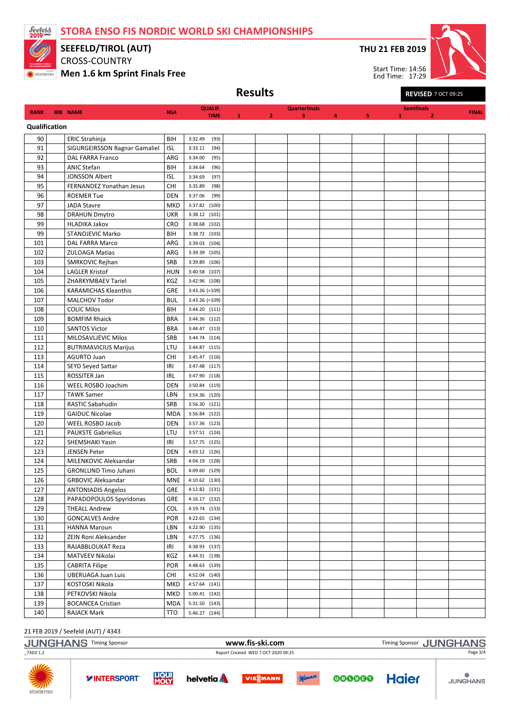TIME



Qualification

SEEFELD/TIROL (AUT)

CROSS-COUNTRY

Men 1.6 km Sprint Finals Free

**RANK BIB NAME** NSA QUALIF.

90 ERIC Strahinja BIH 3:32.49 (93)

THU 21 FEB 2019

Start Time: 14:56

Semifinals



**FINAL** 

Results Revised 7 OCT 09:25 End Time: 17:29

**Quarterfinals** 1 2 3 4 5

| 91  | SIGURGEIRSSON Ragnar Gamaliel | <b>ISL</b> | (94)<br>3:33.11  |  |  |  |  |
|-----|-------------------------------|------------|------------------|--|--|--|--|
| 92  | DAL FARRA Franco              | ARG        | 3:34.00<br>(95)  |  |  |  |  |
| 93  | <b>ANIC Stefan</b>            | BIH        | (96)<br>3:34.64  |  |  |  |  |
| 94  | <b>JONSSON Albert</b>         | <b>ISL</b> | 3:34.69<br>(97)  |  |  |  |  |
| 95  | FERNANDEZ Yonathan Jesus      | CHI        | 3:35.89<br>(98)  |  |  |  |  |
| 96  | <b>ROEMER Tue</b>             | <b>DEN</b> | 3:37.06<br>(99)  |  |  |  |  |
| 97  | <b>JADA Stavre</b>            | MKD        | 3:37.82<br>(100) |  |  |  |  |
| 98  | <b>DRAHUN Dmytro</b>          | <b>UKR</b> | 3:38.12 (101)    |  |  |  |  |
| 99  | <b>HLADIKA Jakov</b>          | CRO        | 3:38.68 (102)    |  |  |  |  |
| 99  | STANOJEVIC Marko              | BIH        | 3:38.72 (103)    |  |  |  |  |
| 101 | DAL FARRA Marco               | ARG        | 3:39.03 (104)    |  |  |  |  |
| 102 | <b>ZULOAGA Matias</b>         | ARG        | 3:39.39 (105)    |  |  |  |  |
| 103 | SMRKOVIC Rejhan               | SRB        | 3:39.89 (106)    |  |  |  |  |
| 104 | <b>LAGLER Kristof</b>         | <b>HUN</b> | 3:40.58 (107)    |  |  |  |  |
| 105 | ZHARKYMBAEV Tariel            | KGZ        | 3:42.96 (108)    |  |  |  |  |
| 106 | <b>KARAMICHAS Kleanthis</b>   | GRE        | $3:43.26$ (=109) |  |  |  |  |
| 107 | <b>MALCHOV Todor</b>          | <b>BUL</b> | $3:43.26$ (=109) |  |  |  |  |
| 108 | <b>COLIC Milos</b>            | BIH        | 3:44.20 (111)    |  |  |  |  |
| 109 | <b>BOMFIM Rhaick</b>          | <b>BRA</b> | 3:44.36 (112)    |  |  |  |  |
| 110 | <b>SANTOS Victor</b>          | <b>BRA</b> | 3:44.47 (113)    |  |  |  |  |
| 111 | MILOSAVLJEVIC Milos           | SRB        | 3:44.74 (114)    |  |  |  |  |
| 112 | <b>BUTRIMAVICIUS Marijus</b>  | LTU        | 3:44.87 (115)    |  |  |  |  |
| 113 | <b>AGURTO Juan</b>            | CHI        | 3:45.47 (116)    |  |  |  |  |
| 114 | <b>SEYD Seyed Sattar</b>      | IRI        | 3:47.48 (117)    |  |  |  |  |
| 115 | ROSSITER Jan                  | <b>IRL</b> | 3:47.90 (118)    |  |  |  |  |
| 116 | WEEL ROSBO Joachim            | <b>DEN</b> | 3:50.84 (119)    |  |  |  |  |
| 117 | <b>TAWK Samer</b>             | LBN        | 3:54.36 (120)    |  |  |  |  |
| 118 | <b>RASTIC Sabahudin</b>       | SRB        | 3:56.30 (121)    |  |  |  |  |
| 119 | <b>GAIDUC Nicolae</b>         | <b>MDA</b> | 3:56.84 (122)    |  |  |  |  |
| 120 | <b>WEEL ROSBO Jacob</b>       | <b>DEN</b> | 3:57.36 (123)    |  |  |  |  |
| 121 | <b>PAUKSTE Gabrielius</b>     | LTU        | 3:57.51 (124)    |  |  |  |  |
| 122 | SHEMSHAKI Yasin               | IRI        | 3:57.75 (125)    |  |  |  |  |
| 123 | <b>JENSEN Peter</b>           | <b>DEN</b> | 4:03.12 (126)    |  |  |  |  |
| 124 | MILENKOVIC Aleksandar         | SRB        | 4:04.19 (128)    |  |  |  |  |
| 125 | <b>GRONLUND Timo Juhani</b>   | <b>BOL</b> | 4:09.60 (129)    |  |  |  |  |
| 126 | <b>GRBOVIC Aleksandar</b>     | <b>MNE</b> | 4:10.62 (130)    |  |  |  |  |
| 127 | <b>ANTONIADIS Angelos</b>     | <b>GRE</b> | 4:12.82 (131)    |  |  |  |  |
| 128 | PAPADOPOULOS Spyridonas       | GRE        | 4:16.17 (132)    |  |  |  |  |
| 129 | <b>THEALL Andrew</b>          | COL        | 4:19.74 (133)    |  |  |  |  |
| 130 | <b>GONCALVES Andre</b>        | <b>POR</b> | 4:22.65 (134)    |  |  |  |  |
| 131 | HANNA Maroun                  | LBN        | 4:22.90 (135)    |  |  |  |  |
| 132 | ZEIN Roni Aleksander          | LBN        | 4:27.75 (136)    |  |  |  |  |
| 133 | RAJABBLOUKAT Reza             | IRI        | 4:38.93 (137)    |  |  |  |  |
| 134 | MATVEEV Nikolai               | KGZ        | 4:44.31 (138)    |  |  |  |  |
| 135 | <b>CABRITA Filipe</b>         | POR        | 4:48.63 (139)    |  |  |  |  |
| 136 | <b>UBERUAGA Juan Luis</b>     | CHI        | 4:52.04 (140)    |  |  |  |  |
| 137 | KOSTOSKI Nikola               | MKD        | 4:57.64 (141)    |  |  |  |  |
| 138 | PETKOVSKI Nikola              | <b>MKD</b> | $5:00.41$ (142)  |  |  |  |  |
| 139 | <b>BOCANCEA Cristian</b>      | <b>MDA</b> | 5:31.50 (143)    |  |  |  |  |
| 140 | RAJACK Mark                   | TTO        | 5:46.27 (144)    |  |  |  |  |
|     |                               |            |                  |  |  |  |  |

|                         | <b>JUNGHANS Timing Sponsor</b> |                             |                                     | www.fis-ski.com |          |        | Timing Sponsor JUNGHANS |                 |  |  |
|-------------------------|--------------------------------|-----------------------------|-------------------------------------|-----------------|----------|--------|-------------------------|-----------------|--|--|
| _73D3 1.2               |                                |                             | Report Created WED 7 OCT 2020 09:25 |                 | Page 3/4 |        |                         |                 |  |  |
| <b>AND</b><br>storaenso | <b>YINTERSPORT</b>             | <b>LIQUI</b><br><b>MOLY</b> | helvetia <b>A</b>                   | <b>VIESMANN</b> | Manner   | 000000 | <b>Haier</b>            | <b>JUNGHANS</b> |  |  |